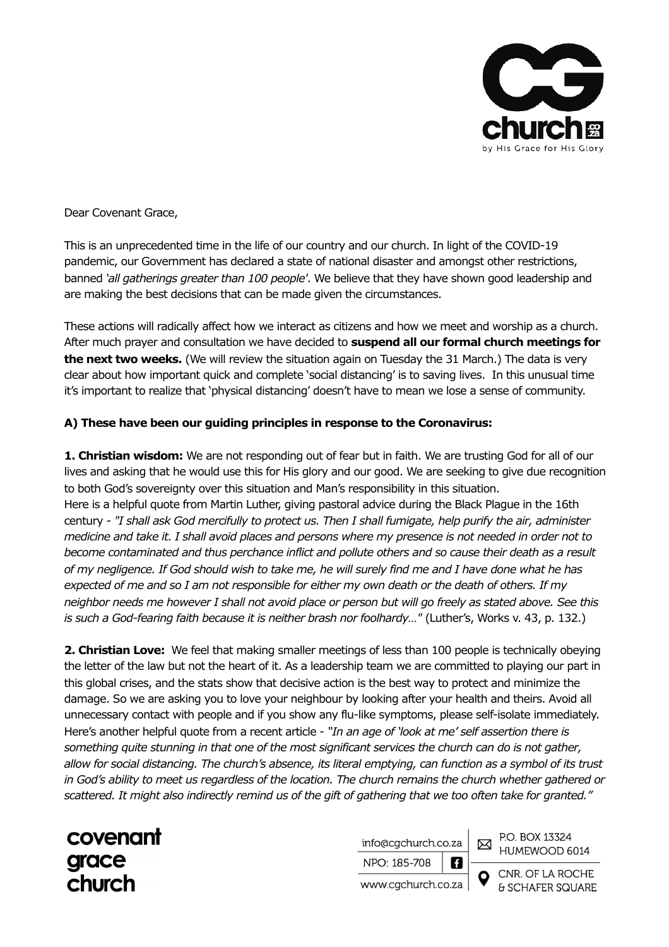

Dear Covenant Grace,

This is an unprecedented time in the life of our country and our church. In light of the COVID-19 pandemic, our Government has declared a state of national disaster and amongst other restrictions, banned *'all gatherings greater than 100 people'*. We believe that they have shown good leadership and are making the best decisions that can be made given the circumstances.

These actions will radically affect how we interact as citizens and how we meet and worship as a church. After much prayer and consultation we have decided to **suspend all our formal church meetings for the next two weeks.** (We will review the situation again on Tuesday the 31 March.) The data is very clear about how important quick and complete 'social distancing' is to saving lives. In this unusual time it's important to realize that 'physical distancing' doesn't have to mean we lose a sense of community.

## **A) These have been our guiding principles in response to the Coronavirus:**

**1. Christian wisdom:** We are not responding out of fear but in faith. We are trusting God for all of our lives and asking that he would use this for His glory and our good. We are seeking to give due recognition to both God's sovereignty over this situation and Man's responsibility in this situation. Here is a helpful quote from Martin Luther, giving pastoral advice during the Black Plague in the 16th century - *"I shall ask God mercifully to protect us. Then I shall fumigate, help purify the air, administer medicine and take it. I shall avoid places and persons where my presence is not needed in order not to become contaminated and thus perchance inflict and pollute others and so cause their death as a result of my negligence. If God should wish to take me, he will surely find me and I have done what he has expected of me and so I am not responsible for either my own death or the death of others. If my neighbor needs me however I shall not avoid place or person but will go freely as stated above. See this is such a God-fearing faith because it is neither brash nor foolhardy…"* (Luther's, Works v. 43, p. 132.)

**2. Christian Love:** We feel that making smaller meetings of less than 100 people is technically obeying the letter of the law but not the heart of it. As a leadership team we are committed to playing our part in this global crises, and the stats show that decisive action is the best way to protect and minimize the damage. So we are asking you to love your neighbour by looking after your health and theirs. Avoid all unnecessary contact with people and if you show any flu-like symptoms, please self-isolate immediately. Here's another helpful quote from a recent article - *"In an age of 'look at me' self assertion there is something quite stunning in that one of the most significant services the church can do is not gather, allow for social distancing. The church's absence, its literal emptying, can function as a symbol of its trust in God's ability to meet us regardless of the location. The church remains the church whether gathered or scattered. It might also indirectly remind us of the gift of gathering that we too often take for granted."* 

covenant grace church

info@cgchurch.co.za

NPO: 185-708

P.O. BOX 13324 HUMEWOOD 6014

⊠

A

www.cqchurch.co.za

CNR. OF LA ROCHE & SCHAFER SQUARE